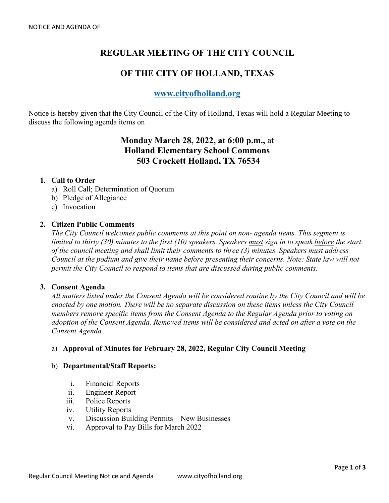# **REGULAR MEETING OF THE CITY COUNCIL**

## **OF THE CITY OF HOLLAND, TEXAS**

## **[www.cityofholland.org](http://www.cityofholland.org/)**

Notice is hereby given that the City Council of the City of Holland, Texas will hold a Regular Meeting to discuss the following agenda items on

## **Monday March 28, 2022, at 6:00 p.m.,** at **Holland Elementary School Commons 503 Crockett Holland, TX 76534**

#### **1. Call to Order**

- a) Roll Call; Determination of Quorum
- b) Pledge of Allegiance
- c) Invocation

## **2. Citizen Public Comments**

*The City Council welcomes public comments at this point on non- agenda items. This segment is limited to thirty (30) minutes to the first (10) speakers. Speakers must sign in to speak before the start of the council meeting and shall limit their comments to three (3) minutes. Speakers must address Council at the podium and give their name before presenting their concerns. Note: State law will not permit the City Council to respond to items that are discussed during public comments.* 

#### **3. Consent Agenda**

*All matters listed under the Consent Agenda will be considered routine by the City Council and will be enacted by one motion. There will be no separate discussion on these items unless the City Council members remove specific items from the Consent Agenda to the Regular Agenda prior to voting on adoption of the Consent Agenda. Removed items will be considered and acted on after a vote on the Consent Agenda.* 

## a) **Approval of Minutes for February 28, 2022, Regular City Council Meeting**

#### b) **Departmental/Staff Reports:**

- i. Financial Reports
- ii. Engineer Report
- iii. Police Reports
- iv. Utility Reports
- v. Discussion Building Permits New Businesses
- vi. Approval to Pay Bills for March 2022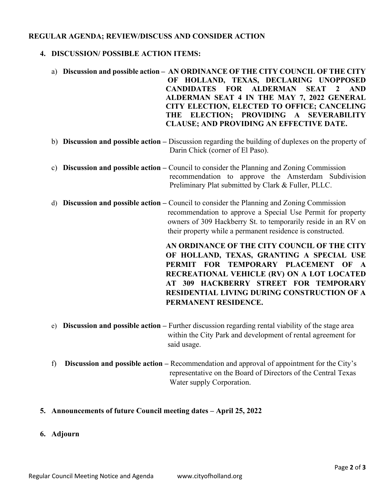## **REGULAR AGENDA; REVIEW/DISCUSS AND CONSIDER ACTION**

## **4. DISCUSSION/ POSSIBLE ACTION ITEMS:**

- a) **Discussion and possible action – AN ORDINANCE OF THE CITY COUNCIL OF THE CITY OF HOLLAND, TEXAS, DECLARING UNOPPOSED CANDIDATES FOR ALDERMAN SEAT 2 AND ALDERMAN SEAT 4 IN THE MAY 7, 2022 GENERAL CITY ELECTION, ELECTED TO OFFICE; CANCELING THE ELECTION; PROVIDING A SEVERABILITY CLAUSE; AND PROVIDING AN EFFECTIVE DATE.**
- b) **Discussion and possible action –** Discussion regarding the building of duplexes on the property of Darin Chick (corner of El Paso).
- c) **Discussion and possible action –** Council to consider the Planning and Zoning Commission recommendation to approve the Amsterdam Subdivision Preliminary Plat submitted by Clark & Fuller, PLLC.
- d) **Discussion and possible action –** Council to consider the Planning and Zoning Commission recommendation to approve a Special Use Permit for property owners of 309 Hackberry St. to temporarily reside in an RV on their property while a permanent residence is constructed.

**AN ORDINANCE OF THE CITY COUNCIL OF THE CITY OF HOLLAND, TEXAS, GRANTING A SPECIAL USE PERMIT FOR TEMPORARY PLACEMENT OF A RECREATIONAL VEHICLE (RV) ON A LOT LOCATED AT 309 HACKBERRY STREET FOR TEMPORARY RESIDENTIAL LIVING DURING CONSTRUCTION OF A PERMANENT RESIDENCE.** 

- e) **Discussion and possible action –** Further discussion regarding rental viability of the stage area within the City Park and development of rental agreement for said usage.
- f) **Discussion and possible action –** Recommendation and approval of appointment for the City's representative on the Board of Directors of the Central Texas Water supply Corporation.

#### **5. Announcements of future Council meeting dates – April 25, 2022**

**6. Adjourn**